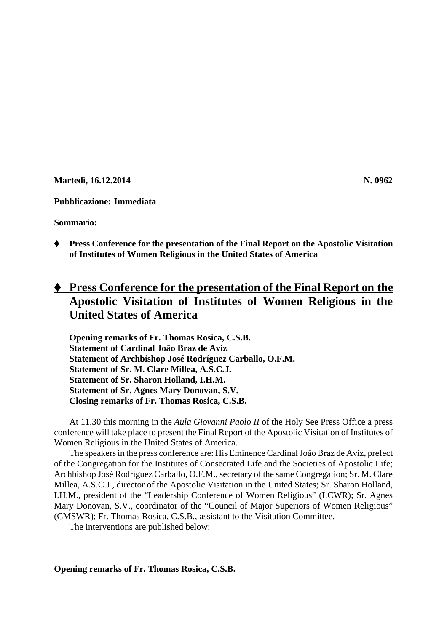**Martedì, 16.12.2014** N. 0962

# **Pubblicazione: Immediata**

**Sommario:**

Ë **Press Conference for the presentation of the Final Report on the Apostolic Visitation of Institutes of Women Religious in the United States of America**

# ◆ **Press Conference for the presentation of the Final Report on the Apostolic Visitation of Institutes of Women Religious in the United States of America**

**Opening remarks of Fr. Thomas Rosica, C.S.B. Statement of Cardinal João Braz de Aviz Statement of Archbishop José Rodríguez Carballo, O.F.M. Statement of Sr. M. Clare Millea, A.S.C.J. Statement of Sr. Sharon Holland, I.H.M. Statement of Sr. Agnes Mary Donovan, S.V. Closing remarks of Fr. Thomas Rosica, C.S.B.**

At 11.30 this morning in the *Aula Giovanni Paolo II* of the Holy See Press Office a press conference will take place to present the Final Report of the Apostolic Visitation of Institutes of Women Religious in the United States of America.

The speakers in the press conference are: His Eminence Cardinal João Braz de Aviz, prefect of the Congregation for the Institutes of Consecrated Life and the Societies of Apostolic Life; Archbishop José Rodríguez Carballo, O.F.M., secretary of the same Congregation; Sr. M. Clare Millea, A.S.C.J., director of the Apostolic Visitation in the United States; Sr. Sharon Holland, I.H.M., president of the "Leadership Conference of Women Religious" (LCWR); Sr. Agnes Mary Donovan, S.V., coordinator of the "Council of Major Superiors of Women Religious" (CMSWR); Fr. Thomas Rosica, C.S.B., assistant to the Visitation Committee.

The interventions are published below:

**Opening remarks of Fr. Thomas Rosica, C.S.B.**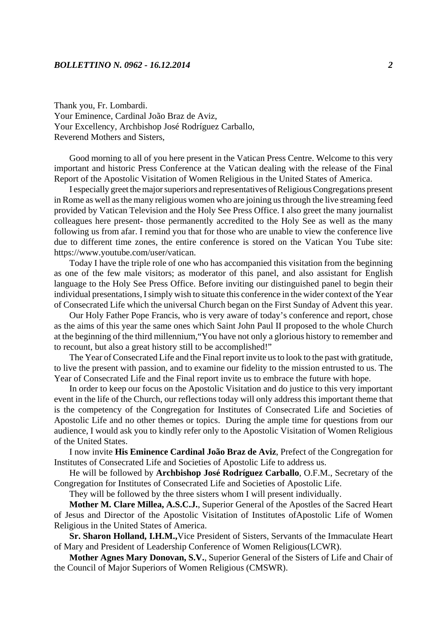Thank you, Fr. Lombardi. Your Eminence, Cardinal João Braz de Aviz, Your Excellency, Archbishop José Rodríguez Carballo, Reverend Mothers and Sisters,

Good morning to all of you here present in the Vatican Press Centre. Welcome to this very important and historic Press Conference at the Vatican dealing with the release of the Final Report of the Apostolic Visitation of Women Religious in the United States of America.

I especially greet the major superiors and representatives of Religious Congregations present in Rome as well as the many religious women who are joining us through the live streaming feed provided by Vatican Television and the Holy See Press Office. I also greet the many journalist colleagues here present- those permanently accredited to the Holy See as well as the many following us from afar. I remind you that for those who are unable to view the conference live due to different time zones, the entire conference is stored on the Vatican You Tube site: https://www.youtube.com/user/vatican.

Today I have the triple role of one who has accompanied this visitation from the beginning as one of the few male visitors; as moderator of this panel, and also assistant for English language to the Holy See Press Office. Before inviting our distinguished panel to begin their individual presentations, I simply wish to situate this conference in the wider context of the Year of Consecrated Life which the universal Church began on the First Sunday of Advent this year.

Our Holy Father Pope Francis, who is very aware of today's conference and report, chose as the aims of this year the same ones which Saint John Paul II proposed to the whole Church at the beginning of the third millennium,"You have not only a glorious history to remember and to recount, but also a great history still to be accomplished!"

The Year of Consecrated Life and the Final report invite us to look to the past with gratitude, to live the present with passion, and to examine our fidelity to the mission entrusted to us. The Year of Consecrated Life and the Final report invite us to embrace the future with hope.

In order to keep our focus on the Apostolic Visitation and do justice to this very important event in the life of the Church, our reflections today will only address this important theme that is the competency of the Congregation for Institutes of Consecrated Life and Societies of Apostolic Life and no other themes or topics. During the ample time for questions from our audience, I would ask you to kindly refer only to the Apostolic Visitation of Women Religious of the United States.

I now invite **His Eminence Cardinal João Braz de Aviz**, Prefect of the Congregation for Institutes of Consecrated Life and Societies of Apostolic Life to address us.

He will be followed by **Archbishop José Rodríguez Carballo**, O.F.M., Secretary of the Congregation for Institutes of Consecrated Life and Societies of Apostolic Life.

They will be followed by the three sisters whom I will present individually.

**Mother M. Clare Millea, A.S.C.J.**, Superior General of the Apostles of the Sacred Heart of Jesus and Director of the Apostolic Visitation of Institutes ofApostolic Life of Women Religious in the United States of America.

**Sr. Sharon Holland, I.H.M.,**Vice President of Sisters, Servants of the Immaculate Heart of Mary and President of Leadership Conference of Women Religious(LCWR).

**Mother Agnes Mary Donovan, S.V.**, Superior General of the Sisters of Life and Chair of the Council of Major Superiors of Women Religious (CMSWR).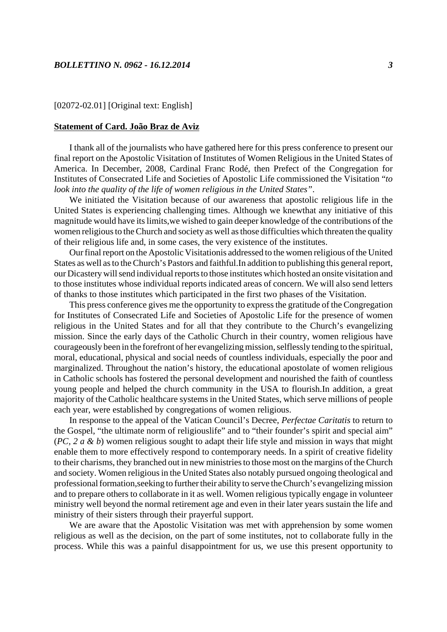## [02072-02.01] [Original text: English]

#### **Statement of Card. João Braz de Aviz**

I thank all of the journalists who have gathered here for this press conference to present our final report on the Apostolic Visitation of Institutes of Women Religious in the United States of America. In December, 2008, Cardinal Franc Rodé, then Prefect of the Congregation for Institutes of Consecrated Life and Societies of Apostolic Life commissioned the Visitation "*to look into the quality of the life of women religious in the United States"*.

We initiated the Visitation because of our awareness that apostolic religious life in the United States is experiencing challenging times. Although we knewthat any initiative of this magnitude would have its limits,we wished to gain deeper knowledge of the contributions of the women religious to the Church and society as well as those difficulties which threaten the quality of their religious life and, in some cases, the very existence of the institutes.

Our final report on the Apostolic Visitationis addressed to the women religious of the United States as well as to the Church's Pastors and faithful.In addition to publishing this general report, our Dicastery will send individual reports to those institutes which hosted an onsite visitation and to those institutes whose individual reports indicated areas of concern. We will also send letters of thanks to those institutes which participated in the first two phases of the Visitation.

This press conference gives me the opportunity to express the gratitude of the Congregation for Institutes of Consecrated Life and Societies of Apostolic Life for the presence of women religious in the United States and for all that they contribute to the Church's evangelizing mission. Since the early days of the Catholic Church in their country, women religious have courageously been in the forefront of her evangelizing mission, selflessly tending to the spiritual, moral, educational, physical and social needs of countless individuals, especially the poor and marginalized. Throughout the nation's history, the educational apostolate of women religious in Catholic schools has fostered the personal development and nourished the faith of countless young people and helped the church community in the USA to flourish.In addition, a great majority of the Catholic healthcare systems in the United States, which serve millions of people each year, were established by congregations of women religious.

In response to the appeal of the Vatican Council's Decree, *Perfectae Caritatis* to return to the Gospel, "the ultimate norm of religiouslife" and to "their founder's spirit and special aim" (*PC, 2 a & b*) women religious sought to adapt their life style and mission in ways that might enable them to more effectively respond to contemporary needs. In a spirit of creative fidelity to their charisms, they branched out in new ministries to those most on the margins of the Church and society. Women religious in the United States also notably pursued ongoing theological and professional formation,seeking to further their ability to serve the Church's evangelizing mission and to prepare others to collaborate in it as well. Women religious typically engage in volunteer ministry well beyond the normal retirement age and even in their later years sustain the life and ministry of their sisters through their prayerful support.

We are aware that the Apostolic Visitation was met with apprehension by some women religious as well as the decision, on the part of some institutes, not to collaborate fully in the process. While this was a painful disappointment for us, we use this present opportunity to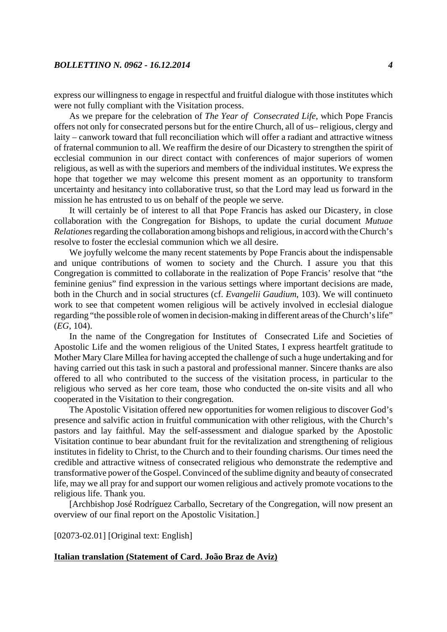express our willingness to engage in respectful and fruitful dialogue with those institutes which were not fully compliant with the Visitation process.

As we prepare for the celebration of *The Year of Consecrated Life*, which Pope Francis offers not only for consecrated persons but for the entire Church, all of us– religious, clergy and laity – canwork toward that full reconciliation which will offer a radiant and attractive witness of fraternal communion to all. We reaffirm the desire of our Dicastery to strengthen the spirit of ecclesial communion in our direct contact with conferences of major superiors of women religious, as well as with the superiors and members of the individual institutes. We express the hope that together we may welcome this present moment as an opportunity to transform uncertainty and hesitancy into collaborative trust, so that the Lord may lead us forward in the mission he has entrusted to us on behalf of the people we serve.

It will certainly be of interest to all that Pope Francis has asked our Dicastery, in close collaboration with the Congregation for Bishops, to update the curial document *Mutuae Relationes* regarding the collaboration among bishops and religious, in accord with the Church's resolve to foster the ecclesial communion which we all desire.

We joyfully welcome the many recent statements by Pope Francis about the indispensable and unique contributions of women to society and the Church. I assure you that this Congregation is committed to collaborate in the realization of Pope Francis' resolve that "the feminine genius" find expression in the various settings where important decisions are made, both in the Church and in social structures (cf. *Evangelii Gaudium*, 103). We will continueto work to see that competent women religious will be actively involved in ecclesial dialogue regarding "the possible role of women in decision-making in different areas of the Church's life" (*EG*, 104).

In the name of the Congregation for Institutes of Consecrated Life and Societies of Apostolic Life and the women religious of the United States, I express heartfelt gratitude to Mother Mary Clare Millea for having accepted the challenge of such a huge undertaking and for having carried out this task in such a pastoral and professional manner. Sincere thanks are also offered to all who contributed to the success of the visitation process, in particular to the religious who served as her core team, those who conducted the on-site visits and all who cooperated in the Visitation to their congregation.

The Apostolic Visitation offered new opportunities for women religious to discover God's presence and salvific action in fruitful communication with other religious, with the Church's pastors and lay faithful. May the self-assessment and dialogue sparked by the Apostolic Visitation continue to bear abundant fruit for the revitalization and strengthening of religious institutes in fidelity to Christ, to the Church and to their founding charisms. Our times need the credible and attractive witness of consecrated religious who demonstrate the redemptive and transformative power of the Gospel. Convinced of the sublime dignity and beauty of consecrated life, may we all pray for and support our women religious and actively promote vocations to the religious life. Thank you.

[Archbishop José Rodríguez Carballo, Secretary of the Congregation, will now present an overview of our final report on the Apostolic Visitation.]

[02073-02.01] [Original text: English]

## **Italian translation (Statement of Card. João Braz de Aviz)**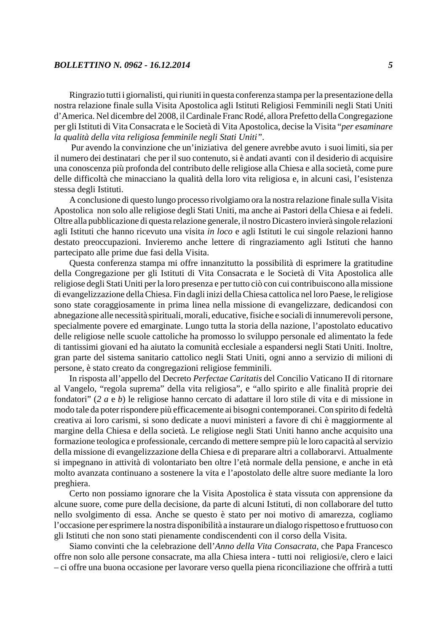Ringrazio tutti i giornalisti, qui riuniti in questa conferenza stampa per la presentazione della nostra relazione finale sulla Visita Apostolica agli Istituti Religiosi Femminili negli Stati Uniti d'America. Nel dicembre del 2008, il Cardinale Franc Rodé, allora Prefetto della Congregazione per gli Istituti di Vita Consacrata e le Società di Vita Apostolica, decise la Visita "*per esaminare la qualità della vita religiosa femminile negli Stati Uniti"*.

 Pur avendo la convinzione che un'iniziativa del genere avrebbe avuto i suoi limiti, sia per il numero dei destinatari che per il suo contenuto, si è andati avanti con il desiderio di acquisire una conoscenza più profonda del contributo delle religiose alla Chiesa e alla società, come pure delle difficoltà che minacciano la qualità della loro vita religiosa e, in alcuni casi, l'esistenza stessa degli Istituti.

A conclusione di questo lungo processo rivolgiamo ora la nostra relazione finale sulla Visita Apostolica non solo alle religiose degli Stati Uniti, ma anche ai Pastori della Chiesa e ai fedeli. Oltre alla pubblicazione di questa relazione generale, il nostro Dicastero invierà singole relazioni agli Istituti che hanno ricevuto una visita *in loco* e agli Istituti le cui singole relazioni hanno destato preoccupazioni. Invieremo anche lettere di ringraziamento agli Istituti che hanno partecipato alle prime due fasi della Visita.

Questa conferenza stampa mi offre innanzitutto la possibilità di esprimere la gratitudine della Congregazione per gli Istituti di Vita Consacrata e le Società di Vita Apostolica alle religiose degli Stati Uniti per la loro presenza e per tutto ciò con cui contribuiscono alla missione di evangelizzazione della Chiesa. Fin dagli inizi della Chiesa cattolica nel loro Paese, le religiose sono state coraggiosamente in prima linea nella missione di evangelizzare, dedicandosi con abnegazione alle necessità spirituali, morali, educative, fisiche e sociali di innumerevoli persone, specialmente povere ed emarginate. Lungo tutta la storia della nazione, l'apostolato educativo delle religiose nelle scuole cattoliche ha promosso lo sviluppo personale ed alimentato la fede di tantissimi giovani ed ha aiutato la comunità ecclesiale a espandersi negli Stati Uniti. Inoltre, gran parte del sistema sanitario cattolico negli Stati Uniti, ogni anno a servizio di milioni di persone, è stato creato da congregazioni religiose femminili.

In risposta all'appello del Decreto *Perfectae Caritatis* del Concilio Vaticano II di ritornare al Vangelo, "regola suprema" della vita religiosa", e "allo spirito e alle finalità proprie dei fondatori" (*2 a* e *b*) le religiose hanno cercato di adattare il loro stile di vita e di missione in modo tale da poter rispondere più efficacemente ai bisogni contemporanei. Con spirito di fedeltà creativa ai loro carismi, si sono dedicate a nuovi ministeri a favore di chi è maggiormente al margine della Chiesa e della società. Le religiose negli Stati Uniti hanno anche acquisito una formazione teologica e professionale, cercando di mettere sempre più le loro capacità al servizio della missione di evangelizzazione della Chiesa e di preparare altri a collaborarvi. Attualmente si impegnano in attività di volontariato ben oltre l'età normale della pensione, e anche in età molto avanzata continuano a sostenere la vita e l'apostolato delle altre suore mediante la loro preghiera.

Certo non possiamo ignorare che la Visita Apostolica è stata vissuta con apprensione da alcune suore, come pure della decisione, da parte di alcuni Istituti, di non collaborare del tutto nello svolgimento di essa. Anche se questo è stato per noi motivo di amarezza, cogliamo l'occasione per esprimere la nostra disponibilità a instaurare un dialogo rispettoso e fruttuoso con gli Istituti che non sono stati pienamente condiscendenti con il corso della Visita.

Siamo convinti che la celebrazione dell'*Anno della Vita Consacrata,* che Papa Francesco offre non solo alle persone consacrate, ma alla Chiesa intera - tutti noi religiosi/e, clero e laici – ci offre una buona occasione per lavorare verso quella piena riconciliazione che offrirà a tutti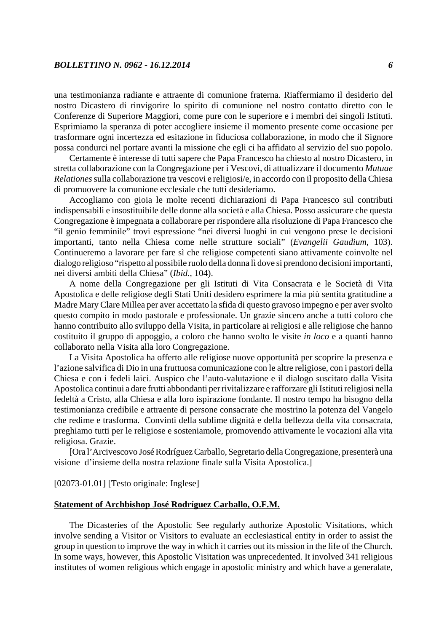una testimonianza radiante e attraente di comunione fraterna. Riaffermiamo il desiderio del nostro Dicastero di rinvigorire lo spirito di comunione nel nostro contatto diretto con le Conferenze di Superiore Maggiori, come pure con le superiore e i membri dei singoli Istituti. Esprimiamo la speranza di poter accogliere insieme il momento presente come occasione per trasformare ogni incertezza ed esitazione in fiduciosa collaborazione, in modo che il Signore possa condurci nel portare avanti la missione che egli ci ha affidato al servizio del suo popolo.

Certamente è interesse di tutti sapere che Papa Francesco ha chiesto al nostro Dicastero, in stretta collaborazione con la Congregazione per i Vescovi, di attualizzare il documento *Mutuae Relationes* sulla collaborazione tra vescovi e religiosi/e, in accordo con il proposito della Chiesa di promuovere la comunione ecclesiale che tutti desideriamo.

Accogliamo con gioia le molte recenti dichiarazioni di Papa Francesco sul contributi indispensabili e insostituibile delle donne alla società e alla Chiesa. Posso assicurare che questa Congregazione è impegnata a collaborare per rispondere alla risoluzione di Papa Francesco che "il genio femminile" trovi espressione "nei diversi luoghi in cui vengono prese le decisioni importanti, tanto nella Chiesa come nelle strutture sociali" (*Evangelii Gaudium*, 103). Continueremo a lavorare per fare sì che religiose competenti siano attivamente coinvolte nel dialogo religioso "rispetto al possibile ruolo della donna lì dove si prendono decisioni importanti, nei diversi ambiti della Chiesa" (*Ibid.,* 104).

A nome della Congregazione per gli Istituti di Vita Consacrata e le Società di Vita Apostolica e delle religiose degli Stati Uniti desidero esprimere la mia più sentita gratitudine a Madre Mary Clare Millea per aver accettato la sfida di questo gravoso impegno e per aver svolto questo compito in modo pastorale e professionale. Un grazie sincero anche a tutti coloro che hanno contribuito allo sviluppo della Visita, in particolare ai religiosi e alle religiose che hanno costituito il gruppo di appoggio, a coloro che hanno svolto le visite *in loco* e a quanti hanno collaborato nella Visita alla loro Congregazione.

La Visita Apostolica ha offerto alle religiose nuove opportunità per scoprire la presenza e l'azione salvifica di Dio in una fruttuosa comunicazione con le altre religiose, con i pastori della Chiesa e con i fedeli laici. Auspico che l'auto-valutazione e il dialogo suscitato dalla Visita Apostolica continui a dare frutti abbondanti per rivitalizzare e rafforzare gli Istituti religiosi nella fedeltà a Cristo, alla Chiesa e alla loro ispirazione fondante. Il nostro tempo ha bisogno della testimonianza credibile e attraente di persone consacrate che mostrino la potenza del Vangelo che redime e trasforma. Convinti della sublime dignità e della bellezza della vita consacrata, preghiamo tutti per le religiose e sosteniamole, promovendo attivamente le vocazioni alla vita religiosa. Grazie.

[Ora l'Arcivescovo José Rodríguez Carballo, Segretario della Congregazione, presenterà una visione d'insieme della nostra relazione finale sulla Visita Apostolica.]

[02073-01.01] [Testo originale: Inglese]

## **Statement of Archbishop José Rodríguez Carballo, O.F.M.**

The Dicasteries of the Apostolic See regularly authorize Apostolic Visitations, which involve sending a Visitor or Visitors to evaluate an ecclesiastical entity in order to assist the group in question to improve the way in which it carries out its mission in the life of the Church. In some ways, however, this Apostolic Visitation was unprecedented. It involved 341 religious institutes of women religious which engage in apostolic ministry and which have a generalate,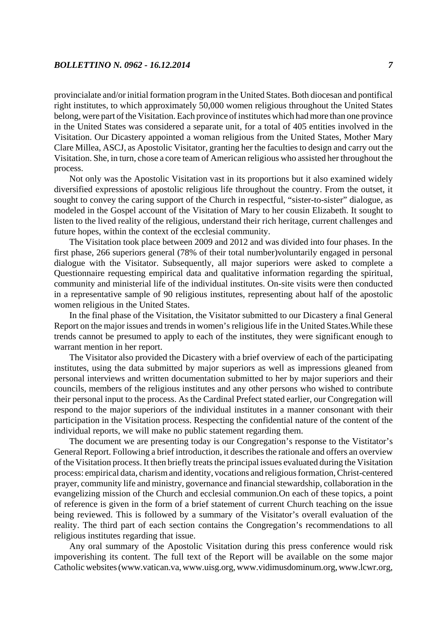provincialate and/or initial formation program in the United States. Both diocesan and pontifical right institutes, to which approximately 50,000 women religious throughout the United States belong, were part of the Visitation. Each province of institutes which had more than one province in the United States was considered a separate unit, for a total of 405 entities involved in the Visitation. Our Dicastery appointed a woman religious from the United States, Mother Mary Clare Millea, ASCJ, as Apostolic Visitator, granting her the faculties to design and carry out the Visitation. She, in turn, chose a core team of American religious who assisted her throughout the process.

Not only was the Apostolic Visitation vast in its proportions but it also examined widely diversified expressions of apostolic religious life throughout the country. From the outset, it sought to convey the caring support of the Church in respectful, "sister-to-sister" dialogue, as modeled in the Gospel account of the Visitation of Mary to her cousin Elizabeth. It sought to listen to the lived reality of the religious, understand their rich heritage, current challenges and future hopes, within the context of the ecclesial community.

The Visitation took place between 2009 and 2012 and was divided into four phases. In the first phase, 266 superiors general (78% of their total number)voluntarily engaged in personal dialogue with the Visitator. Subsequently, all major superiors were asked to complete a Questionnaire requesting empirical data and qualitative information regarding the spiritual, community and ministerial life of the individual institutes. On-site visits were then conducted in a representative sample of 90 religious institutes, representing about half of the apostolic women religious in the United States.

In the final phase of the Visitation, the Visitator submitted to our Dicastery a final General Report on the major issues and trends in women's religious life in the United States.While these trends cannot be presumed to apply to each of the institutes, they were significant enough to warrant mention in her report.

The Visitator also provided the Dicastery with a brief overview of each of the participating institutes, using the data submitted by major superiors as well as impressions gleaned from personal interviews and written documentation submitted to her by major superiors and their councils, members of the religious institutes and any other persons who wished to contribute their personal input to the process. As the Cardinal Prefect stated earlier, our Congregation will respond to the major superiors of the individual institutes in a manner consonant with their participation in the Visitation process. Respecting the confidential nature of the content of the individual reports, we will make no public statement regarding them.

The document we are presenting today is our Congregation's response to the Vistitator's General Report. Following a brief introduction, it describes the rationale and offers an overview of the Visitation process. It then briefly treats the principal issues evaluated during the Visitation process: empirical data, charism and identity, vocations and religious formation, Christ-centered prayer, community life and ministry, governance and financial stewardship, collaboration in the evangelizing mission of the Church and ecclesial communion.On each of these topics, a point of reference is given in the form of a brief statement of current Church teaching on the issue being reviewed. This is followed by a summary of the Visitator's overall evaluation of the reality. The third part of each section contains the Congregation's recommendations to all religious institutes regarding that issue.

Any oral summary of the Apostolic Visitation during this press conference would risk impoverishing its content. The full text of the Report will be available on the some major Catholic websites (www.vatican.va, www.uisg.org, www.vidimusdominum.org, www.lcwr.org,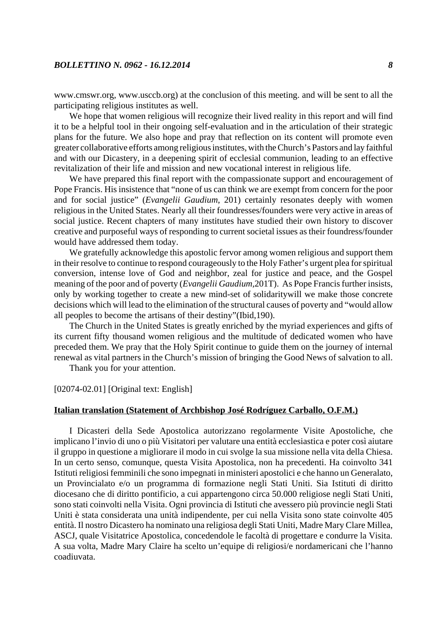www.cmswr.org, www.usccb.org) at the conclusion of this meeting. and will be sent to all the participating religious institutes as well.

We hope that women religious will recognize their lived reality in this report and will find it to be a helpful tool in their ongoing self-evaluation and in the articulation of their strategic plans for the future. We also hope and pray that reflection on its content will promote even greater collaborative efforts among religious institutes, with the Church's Pastors and lay faithful and with our Dicastery, in a deepening spirit of ecclesial communion, leading to an effective revitalization of their life and mission and new vocational interest in religious life.

We have prepared this final report with the compassionate support and encouragement of Pope Francis. His insistence that "none of us can think we are exempt from concern for the poor and for social justice" (*Evangelii Gaudium*, 201) certainly resonates deeply with women religious in the United States. Nearly all their foundresses/founders were very active in areas of social justice. Recent chapters of many institutes have studied their own history to discover creative and purposeful ways of responding to current societal issues as their foundress/founder would have addressed them today.

We gratefully acknowledge this apostolic fervor among women religious and support them in their resolve to continue to respond courageously to the Holy Father's urgent plea for spiritual conversion, intense love of God and neighbor, zeal for justice and peace, and the Gospel meaning of the poor and of poverty (*Evangelii Gaudium,*201T). As Pope Francis further insists, only by working together to create a new mind-set of solidaritywill we make those concrete decisions which will lead to the elimination of the structural causes of poverty and "would allow all peoples to become the artisans of their destiny"(Ibid,190).

The Church in the United States is greatly enriched by the myriad experiences and gifts of its current fifty thousand women religious and the multitude of dedicated women who have preceded them. We pray that the Holy Spirit continue to guide them on the journey of internal renewal as vital partners in the Church's mission of bringing the Good News of salvation to all.

Thank you for your attention.

[02074-02.01] [Original text: English]

#### **Italian translation (Statement of Archbishop José Rodríguez Carballo, O.F.M.)**

I Dicasteri della Sede Apostolica autorizzano regolarmente Visite Apostoliche, che implicano l'invio di uno o più Visitatori per valutare una entità ecclesiastica e poter così aiutare il gruppo in questione a migliorare il modo in cui svolge la sua missione nella vita della Chiesa. In un certo senso, comunque, questa Visita Apostolica, non ha precedenti. Ha coinvolto 341 Istituti religiosi femminili che sono impegnati in ministeri apostolici e che hanno un Generalato, un Provincialato e/o un programma di formazione negli Stati Uniti. Sia Istituti di diritto diocesano che di diritto pontificio, a cui appartengono circa 50.000 religiose negli Stati Uniti, sono stati coinvolti nella Visita. Ogni provincia di Istituti che avessero più provincie negli Stati Uniti è stata considerata una unità indipendente, per cui nella Visita sono state coinvolte 405 entità. Il nostro Dicastero ha nominato una religiosa degli Stati Uniti, Madre Mary Clare Millea, ASCJ, quale Visitatrice Apostolica, concedendole le facoltà di progettare e condurre la Visita. A sua volta, Madre Mary Claire ha scelto un'equipe di religiosi/e nordamericani che l'hanno coadiuvata.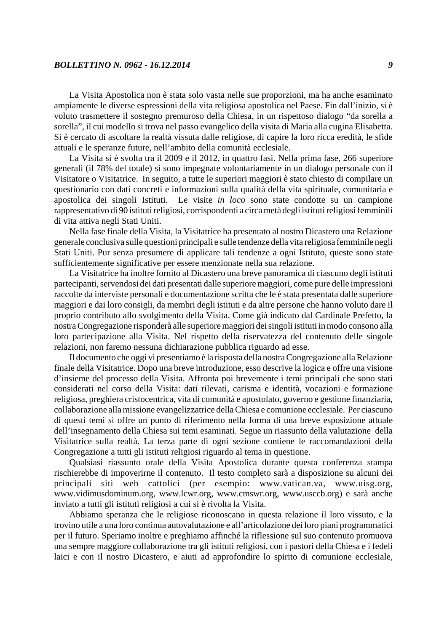La Visita Apostolica non è stata solo vasta nelle sue proporzioni, ma ha anche esaminato ampiamente le diverse espressioni della vita religiosa apostolica nel Paese. Fin dall'inizio, si è voluto trasmettere il sostegno premuroso della Chiesa, in un rispettoso dialogo "da sorella a sorella", il cui modello si trova nel passo evangelico della visita di Maria alla cugina Elisabetta. Si è cercato di ascoltare la realtà vissuta dalle religiose, di capire la loro ricca eredità, le sfide attuali e le speranze future, nell'ambito della comunità ecclesiale.

La Visita si è svolta tra il 2009 e il 2012, in quattro fasi. Nella prima fase, 266 superiore generali (il 78% del totale) si sono impegnate volontariamente in un dialogo personale con il Visitatore o Visitatrice. In seguito, a tutte le superiori maggiori è stato chiesto di compilare un questionario con dati concreti e informazioni sulla qualità della vita spirituale, comunitaria e apostolica dei singoli Istituti. Le visite *in loco* sono state condotte su un campione rappresentativo di 90 istituti religiosi, corrispondenti a circa metà degli istituti religiosi femminili di vita attiva negli Stati Uniti.

Nella fase finale della Visita, la Visitatrice ha presentato al nostro Dicastero una Relazione generale conclusiva sulle questioni principali e sulle tendenze della vita religiosa femminile negli Stati Uniti. Pur senza presumere di applicare tali tendenze a ogni Istituto, queste sono state sufficientemente significative per essere menzionate nella sua relazione.

La Visitatrice ha inoltre fornito al Dicastero una breve panoramica di ciascuno degli istituti partecipanti, servendosi dei dati presentati dalle superiore maggiori, come pure delle impressioni raccolte da interviste personali e documentazione scritta che le è stata presentata dalle superiore maggiori e dai loro consigli, da membri degli istituti e da altre persone che hanno voluto dare il proprio contributo allo svolgimento della Visita. Come già indicato dal Cardinale Prefetto, la nostra Congregazione risponderà alle superiore maggiori dei singoli istituti in modo consono alla loro partecipazione alla Visita. Nel rispetto della riservatezza del contenuto delle singole relazioni, non faremo nessuna dichiarazione pubblica riguardo ad esse.

Il documento che oggi vi presentiamo è la risposta della nostra Congregazione alla Relazione finale della Visitatrice. Dopo una breve introduzione, esso descrive la logica e offre una visione d'insieme del processo della Visita. Affronta poi brevemente i temi principali che sono stati considerati nel corso della Visita: dati rilevati, carisma e identità, vocazioni e formazione religiosa, preghiera cristocentrica, vita di comunità e apostolato, governo e gestione finanziaria, collaborazione alla missione evangelizzatrice della Chiesa e comunione ecclesiale. Per ciascuno di questi temi si offre un punto di riferimento nella forma di una breve esposizione attuale dell'insegnamento della Chiesa sui temi esaminati. Segue un riassunto della valutazione della Visitatrice sulla realtà. La terza parte di ogni sezione contiene le raccomandazioni della Congregazione a tutti gli istituti religiosi riguardo al tema in questione.

Qualsiasi riassunto orale della Visita Apostolica durante questa conferenza stampa rischierebbe di impoverirne il contenuto. Il testo completo sarà a disposizione su alcuni dei principali siti web cattolici (per esempio: www.vatican.va, www.uisg.org, www.vidimusdominum.org, www.lcwr.org, www.cmswr.org, www.usccb.org) e sarà anche inviato a tutti gli istituti religiosi a cui si è rivolta la Visita.

Abbiamo speranza che le religiose riconoscano in questa relazione il loro vissuto, e la trovino utile a una loro continua autovalutazione e all'articolazione dei loro piani programmatici per il futuro. Speriamo inoltre e preghiamo affinché la riflessione sul suo contenuto promuova una sempre maggiore collaborazione tra gli istituti religiosi, con i pastori della Chiesa e i fedeli laici e con il nostro Dicastero, e aiuti ad approfondire lo spirito di comunione ecclesiale,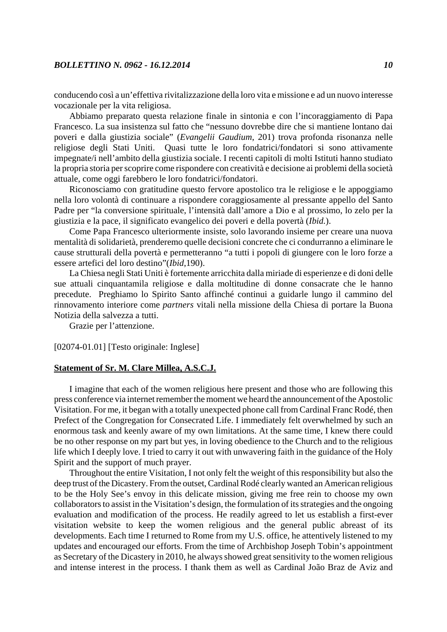conducendo così a un'effettiva rivitalizzazione della loro vita e missione e ad un nuovo interesse vocazionale per la vita religiosa.

Abbiamo preparato questa relazione finale in sintonia e con l'incoraggiamento di Papa Francesco. La sua insistenza sul fatto che "nessuno dovrebbe dire che si mantiene lontano dai poveri e dalla giustizia sociale" (*Evangelii Gaudium*, 201) trova profonda risonanza nelle religiose degli Stati Uniti. Quasi tutte le loro fondatrici/fondatori si sono attivamente impegnate/i nell'ambito della giustizia sociale. I recenti capitoli di molti Istituti hanno studiato la propria storia per scoprire come rispondere con creatività e decisione ai problemi della società attuale, come oggi farebbero le loro fondatrici/fondatori.

Riconosciamo con gratitudine questo fervore apostolico tra le religiose e le appoggiamo nella loro volontà di continuare a rispondere coraggiosamente al pressante appello del Santo Padre per "la conversione spirituale, l'intensità dall'amore a Dio e al prossimo, lo zelo per la giustizia e la pace, il significato evangelico dei poveri e della povertà (*Ibid.*).

Come Papa Francesco ulteriormente insiste, solo lavorando insieme per creare una nuova mentalità di solidarietà, prenderemo quelle decisioni concrete che ci condurranno a eliminare le cause strutturali della povertà e permetteranno "a tutti i popoli di giungere con le loro forze a essere artefici del loro destino"(*Ibid*,190).

La Chiesa negli Stati Uniti è fortemente arricchita dalla miriade di esperienze e di doni delle sue attuali cinquantamila religiose e dalla moltitudine di donne consacrate che le hanno precedute. Preghiamo lo Spirito Santo affinché continui a guidarle lungo il cammino del rinnovamento interiore come *partners* vitali nella missione della Chiesa di portare la Buona Notizia della salvezza a tutti.

Grazie per l'attenzione.

[02074-01.01] [Testo originale: Inglese]

## **Statement of Sr. M. Clare Millea, A.S.C.J.**

I imagine that each of the women religious here present and those who are following this press conference via internet remember the moment we heard the announcement of the Apostolic Visitation. For me, it began with a totally unexpected phone call from Cardinal Franc Rodé, then Prefect of the Congregation for Consecrated Life. I immediately felt overwhelmed by such an enormous task and keenly aware of my own limitations. At the same time, I knew there could be no other response on my part but yes, in loving obedience to the Church and to the religious life which I deeply love. I tried to carry it out with unwavering faith in the guidance of the Holy Spirit and the support of much prayer.

Throughout the entire Visitation, I not only felt the weight of this responsibility but also the deep trust of the Dicastery. From the outset, Cardinal Rodé clearly wanted an American religious to be the Holy See's envoy in this delicate mission, giving me free rein to choose my own collaborators to assist in the Visitation's design, the formulation of its strategies and the ongoing evaluation and modification of the process. He readily agreed to let us establish a first-ever visitation website to keep the women religious and the general public abreast of its developments. Each time I returned to Rome from my U.S. office, he attentively listened to my updates and encouraged our efforts. From the time of Archbishop Joseph Tobin's appointment as Secretary of the Dicastery in 2010, he always showed great sensitivity to the women religious and intense interest in the process. I thank them as well as Cardinal João Braz de Aviz and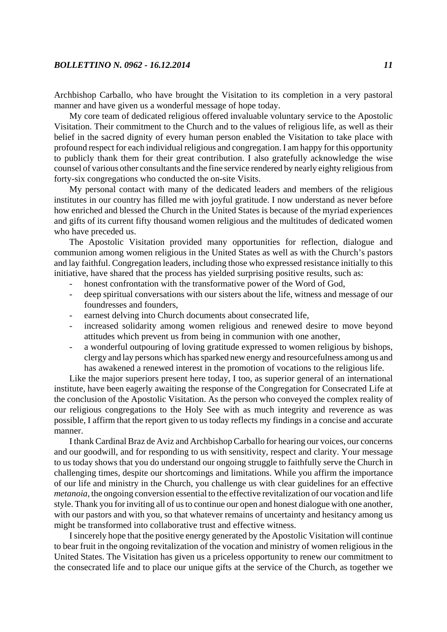Archbishop Carballo, who have brought the Visitation to its completion in a very pastoral manner and have given us a wonderful message of hope today.

My core team of dedicated religious offered invaluable voluntary service to the Apostolic Visitation. Their commitment to the Church and to the values of religious life, as well as their belief in the sacred dignity of every human person enabled the Visitation to take place with profound respect for each individual religious and congregation. I am happy for this opportunity to publicly thank them for their great contribution. I also gratefully acknowledge the wise counsel of various other consultants and the fine service rendered by nearly eighty religious from forty-six congregations who conducted the on-site Visits.

My personal contact with many of the dedicated leaders and members of the religious institutes in our country has filled me with joyful gratitude. I now understand as never before how enriched and blessed the Church in the United States is because of the myriad experiences and gifts of its current fifty thousand women religious and the multitudes of dedicated women who have preceded us.

The Apostolic Visitation provided many opportunities for reflection, dialogue and communion among women religious in the United States as well as with the Church's pastors and lay faithful. Congregation leaders, including those who expressed resistance initially to this initiative, have shared that the process has yielded surprising positive results, such as:

- honest confrontation with the transformative power of the Word of God,
- deep spiritual conversations with our sisters about the life, witness and message of our foundresses and founders,
- earnest delving into Church documents about consecrated life,
- increased solidarity among women religious and renewed desire to move beyond attitudes which prevent us from being in communion with one another,
- a wonderful outpouring of loving gratitude expressed to women religious by bishops, clergy and lay persons which has sparked new energy and resourcefulness among us and has awakened a renewed interest in the promotion of vocations to the religious life.

Like the major superiors present here today, I too, as superior general of an international institute, have been eagerly awaiting the response of the Congregation for Consecrated Life at the conclusion of the Apostolic Visitation. As the person who conveyed the complex reality of our religious congregations to the Holy See with as much integrity and reverence as was possible, I affirm that the report given to us today reflects my findings in a concise and accurate manner.

I thank Cardinal Braz de Aviz and Archbishop Carballo for hearing our voices, our concerns and our goodwill, and for responding to us with sensitivity, respect and clarity. Your message to us today shows that you do understand our ongoing struggle to faithfully serve the Church in challenging times, despite our shortcomings and limitations. While you affirm the importance of our life and ministry in the Church, you challenge us with clear guidelines for an effective *metanoia*, the ongoing conversion essential to the effective revitalization of our vocation and life style. Thank you for inviting all of us to continue our open and honest dialogue with one another, with our pastors and with you, so that whatever remains of uncertainty and hesitancy among us might be transformed into collaborative trust and effective witness.

I sincerely hope that the positive energy generated by the Apostolic Visitation will continue to bear fruit in the ongoing revitalization of the vocation and ministry of women religious in the United States. The Visitation has given us a priceless opportunity to renew our commitment to the consecrated life and to place our unique gifts at the service of the Church, as together we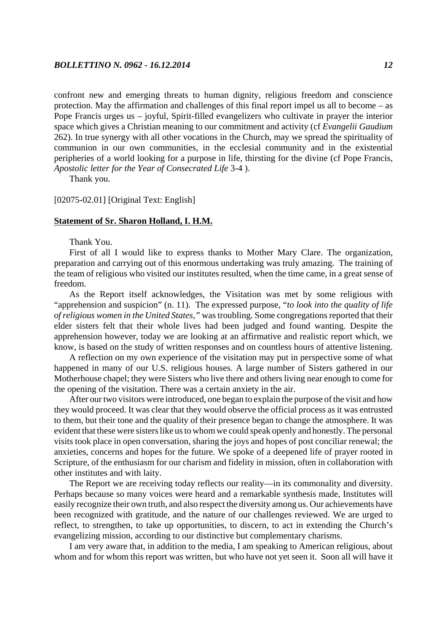confront new and emerging threats to human dignity, religious freedom and conscience protection. May the affirmation and challenges of this final report impel us all to become – as Pope Francis urges us – joyful, Spirit-filled evangelizers who cultivate in prayer the interior space which gives a Christian meaning to our commitment and activity (cf *Evangelii Gaudium* 262). In true synergy with all other vocations in the Church, may we spread the spirituality of communion in our own communities, in the ecclesial community and in the existential peripheries of a world looking for a purpose in life, thirsting for the divine (cf Pope Francis, *Apostolic letter for the Year of Consecrated Life* 3-4 ).

Thank you.

#### [02075-02.01] [Original Text: English]

#### **Statement of Sr. Sharon Holland, I. H.M.**

Thank You.

First of all I would like to express thanks to Mother Mary Clare. The organization, preparation and carrying out of this enormous undertaking was truly amazing. The training of the team of religious who visited our institutes resulted, when the time came, in a great sense of freedom.

As the Report itself acknowledges, the Visitation was met by some religious with "apprehension and suspicion" (n. 11). The expressed purpose, "*to look into the quality of life of religious women in the United States,"* was troubling. Some congregations reported that their elder sisters felt that their whole lives had been judged and found wanting. Despite the apprehension however, today we are looking at an affirmative and realistic report which, we know, is based on the study of written responses and on countless hours of attentive listening.

A reflection on my own experience of the visitation may put in perspective some of what happened in many of our U.S. religious houses. A large number of Sisters gathered in our Motherhouse chapel; they were Sisters who live there and others living near enough to come for the opening of the visitation. There was a certain anxiety in the air.

After our two visitors were introduced, one began to explain the purpose of the visit and how they would proceed. It was clear that they would observe the official process as it was entrusted to them, but their tone and the quality of their presence began to change the atmosphere. It was evident that these were sisters like us to whom we could speak openly and honestly. The personal visits took place in open conversation, sharing the joys and hopes of post conciliar renewal; the anxieties, concerns and hopes for the future. We spoke of a deepened life of prayer rooted in Scripture, of the enthusiasm for our charism and fidelity in mission, often in collaboration with other institutes and with laity.

The Report we are receiving today reflects our reality—in its commonality and diversity. Perhaps because so many voices were heard and a remarkable synthesis made, Institutes will easily recognize their own truth, and also respect the diversity among us. Our achievements have been recognized with gratitude, and the nature of our challenges reviewed. We are urged to reflect, to strengthen, to take up opportunities, to discern, to act in extending the Church's evangelizing mission, according to our distinctive but complementary charisms.

I am very aware that, in addition to the media, I am speaking to American religious, about whom and for whom this report was written, but who have not yet seen it. Soon all will have it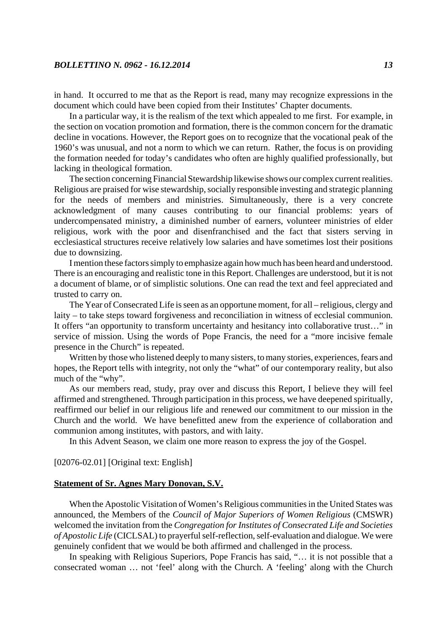in hand. It occurred to me that as the Report is read, many may recognize expressions in the document which could have been copied from their Institutes' Chapter documents.

In a particular way, it is the realism of the text which appealed to me first. For example, in the section on vocation promotion and formation, there is the common concern for the dramatic decline in vocations. However, the Report goes on to recognize that the vocational peak of the 1960's was unusual, and not a norm to which we can return. Rather, the focus is on providing the formation needed for today's candidates who often are highly qualified professionally, but lacking in theological formation.

The section concerning Financial Stewardship likewise shows our complex current realities. Religious are praised for wise stewardship, socially responsible investing and strategic planning for the needs of members and ministries. Simultaneously, there is a very concrete acknowledgment of many causes contributing to our financial problems: years of undercompensated ministry, a diminished number of earners, volunteer ministries of elder religious, work with the poor and disenfranchised and the fact that sisters serving in ecclesiastical structures receive relatively low salaries and have sometimes lost their positions due to downsizing.

I mention these factors simply to emphasize again how much has been heard and understood. There is an encouraging and realistic tone in this Report. Challenges are understood, but it is not a document of blame, or of simplistic solutions. One can read the text and feel appreciated and trusted to carry on.

The Year of Consecrated Life is seen as an opportune moment, for all – religious, clergy and laity – to take steps toward forgiveness and reconciliation in witness of ecclesial communion. It offers "an opportunity to transform uncertainty and hesitancy into collaborative trust…" in service of mission. Using the words of Pope Francis, the need for a "more incisive female presence in the Church" is repeated.

Written by those who listened deeply to many sisters, to many stories, experiences, fears and hopes, the Report tells with integrity, not only the "what" of our contemporary reality, but also much of the "why".

As our members read, study, pray over and discuss this Report, I believe they will feel affirmed and strengthened. Through participation in this process, we have deepened spiritually, reaffirmed our belief in our religious life and renewed our commitment to our mission in the Church and the world. We have benefitted anew from the experience of collaboration and communion among institutes, with pastors, and with laity.

In this Advent Season, we claim one more reason to express the joy of the Gospel.

### [02076-02.01] [Original text: English]

#### **Statement of Sr. Agnes Mary Donovan, S.V.**

When the Apostolic Visitation of Women's Religious communities in the United States was announced, the Members of the *Council of Major Superiors of Women Religious* (CMSWR) welcomed the invitation from the *Congregation for Institutes of Consecrated Life and Societies of Apostolic Life* (CICLSAL) to prayerful self-reflection, self-evaluation and dialogue. We were genuinely confident that we would be both affirmed and challenged in the process.

In speaking with Religious Superiors, Pope Francis has said, "… it is not possible that a consecrated woman … not 'feel' along with the Church. A 'feeling' along with the Church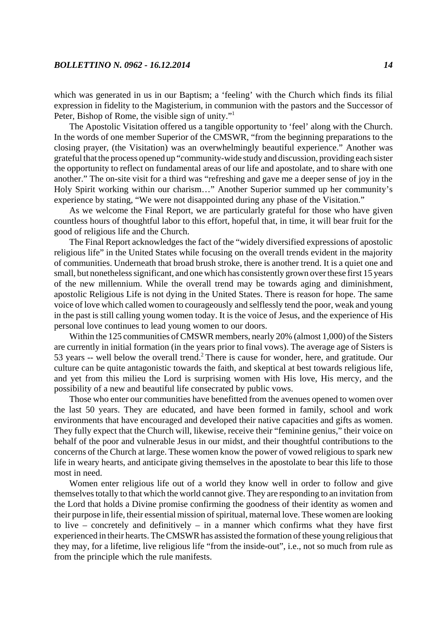which was generated in us in our Baptism; a 'feeling' with the Church which finds its filial expression in fidelity to the Magisterium, in communion with the pastors and the Successor of Peter, Bishop of Rome, the visible sign of unity."1

The Apostolic Visitation offered us a tangible opportunity to 'feel' along with the Church. In the words of one member Superior of the CMSWR, "from the beginning preparations to the closing prayer, (the Visitation) was an overwhelmingly beautiful experience." Another was grateful that the process opened up "community-wide study and discussion, providing each sister the opportunity to reflect on fundamental areas of our life and apostolate, and to share with one another." The on-site visit for a third was "refreshing and gave me a deeper sense of joy in the Holy Spirit working within our charism…" Another Superior summed up her community's experience by stating, "We were not disappointed during any phase of the Visitation."

As we welcome the Final Report, we are particularly grateful for those who have given countless hours of thoughtful labor to this effort, hopeful that, in time, it will bear fruit for the good of religious life and the Church.

The Final Report acknowledges the fact of the "widely diversified expressions of apostolic religious life" in the United States while focusing on the overall trends evident in the majority of communities. Underneath that broad brush stroke, there is another trend. It is a quiet one and small, but nonetheless significant, and one which has consistently grown over these first 15 years of the new millennium. While the overall trend may be towards aging and diminishment, apostolic Religious Life is not dying in the United States. There is reason for hope. The same voice of love which called women to courageously and selflessly tend the poor, weak and young in the past is still calling young women today. It is the voice of Jesus, and the experience of His personal love continues to lead young women to our doors.

Within the 125 communities of CMSWR members, nearly 20% (almost 1,000) of the Sisters are currently in initial formation (in the years prior to final vows). The average age of Sisters is 53 years -- well below the overall trend.<sup>2</sup> There is cause for wonder, here, and gratitude. Our culture can be quite antagonistic towards the faith, and skeptical at best towards religious life, and yet from this milieu the Lord is surprising women with His love, His mercy, and the possibility of a new and beautiful life consecrated by public vows.

Those who enter our communities have benefitted from the avenues opened to women over the last 50 years. They are educated, and have been formed in family, school and work environments that have encouraged and developed their native capacities and gifts as women. They fully expect that the Church will, likewise, receive their "feminine genius," their voice on behalf of the poor and vulnerable Jesus in our midst, and their thoughtful contributions to the concerns of the Church at large. These women know the power of vowed religious to spark new life in weary hearts, and anticipate giving themselves in the apostolate to bear this life to those most in need.

Women enter religious life out of a world they know well in order to follow and give themselves totally to that which the world cannot give. They are responding to an invitation from the Lord that holds a Divine promise confirming the goodness of their identity as women and their purpose in life, their essential mission of spiritual, maternal love. These women are looking to live – concretely and definitively – in a manner which confirms what they have first experienced in their hearts. The CMSWR has assisted the formation of these young religious that they may, for a lifetime, live religious life "from the inside-out", i.e., not so much from rule as from the principle which the rule manifests.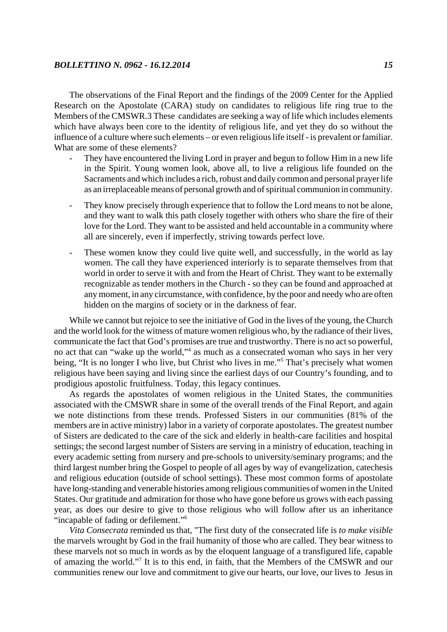The observations of the Final Report and the findings of the 2009 Center for the Applied Research on the Apostolate (CARA) study on candidates to religious life ring true to the Members of the CMSWR.3 These candidates are seeking a way of life which includes elements which have always been core to the identity of religious life, and yet they do so without the influence of a culture where such elements – or even religious life itself - is prevalent or familiar. What are some of these elements?

- They have encountered the living Lord in prayer and begun to follow Him in a new life in the Spirit. Young women look, above all, to live a religious life founded on the Sacraments and which includes a rich, robust and daily common and personal prayer life as an irreplaceable means of personal growth and of spiritual communion in community.
- They know precisely through experience that to follow the Lord means to not be alone, and they want to walk this path closely together with others who share the fire of their love for the Lord. They want to be assisted and held accountable in a community where all are sincerely, even if imperfectly, striving towards perfect love.
- These women know they could live quite well, and successfully, in the world as lay women. The call they have experienced interiorly is to separate themselves from that world in order to serve it with and from the Heart of Christ. They want to be externally recognizable as tender mothers in the Church - so they can be found and approached at any moment, in any circumstance, with confidence, by the poor and needy who are often hidden on the margins of society or in the darkness of fear.

While we cannot but rejoice to see the initiative of God in the lives of the young, the Church and the world look for the witness of mature women religious who, by the radiance of their lives, communicate the fact that God's promises are true and trustworthy. There is no act so powerful, no act that can "wake up the world,"<sup>4</sup> as much as a consecrated woman who says in her very being, "It is no longer I who live, but Christ who lives in me."<sup>5</sup> That's precisely what women religious have been saying and living since the earliest days of our Country's founding, and to prodigious apostolic fruitfulness. Today, this legacy continues.

As regards the apostolates of women religious in the United States, the communities associated with the CMSWR share in some of the overall trends of the Final Report, and again we note distinctions from these trends. Professed Sisters in our communities (81% of the members are in active ministry) labor in a variety of corporate apostolates. The greatest number of Sisters are dedicated to the care of the sick and elderly in health-care facilities and hospital settings; the second largest number of Sisters are serving in a ministry of education, teaching in every academic setting from nursery and pre-schools to university/seminary programs; and the third largest number bring the Gospel to people of all ages by way of evangelization, catechesis and religious education (outside of school settings). These most common forms of apostolate have long-standing and venerable histories among religious communities of women in the United States. Our gratitude and admiration for those who have gone before us grows with each passing year, as does our desire to give to those religious who will follow after us an inheritance "incapable of fading or defilement."6

*Vita Consecrata* reminded us that, "The first duty of the consecrated life is *to make visible* the marvels wrought by God in the frail humanity of those who are called. They bear witness to these marvels not so much in words as by the eloquent language of a transfigured life, capable of amazing the world."<sup>7</sup> It is to this end, in faith, that the Members of the CMSWR and our communities renew our love and commitment to give our hearts, our love, our lives to Jesus in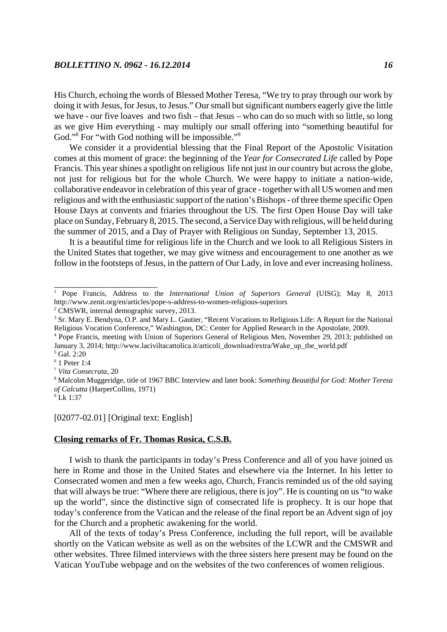His Church, echoing the words of Blessed Mother Teresa, "We try to pray through our work by doing it with Jesus, for Jesus, to Jesus." Our small but significant numbers eagerly give the little we have - our five loaves and two fish – that Jesus – who can do so much with so little, so long as we give Him everything - may multiply our small offering into "something beautiful for God."<sup>8</sup> For "with God nothing will be impossible."<sup>9</sup>

We consider it a providential blessing that the Final Report of the Apostolic Visitation comes at this moment of grace: the beginning of the *Year for Consecrated Life* called by Pope Francis. This year shines a spotlight on religious life not just in our country but across the globe, not just for religious but for the whole Church. We were happy to initiate a nation-wide, collaborative endeavor in celebration of this year of grace - together with all US women and men religious and with the enthusiastic support of the nation's Bishops - of three theme specific Open House Days at convents and friaries throughout the US. The first Open House Day will take place on Sunday, February 8, 2015. The second, a Service Day with religious, will be held during the summer of 2015, and a Day of Prayer with Religious on Sunday, September 13, 2015.

It is a beautiful time for religious life in the Church and we look to all Religious Sisters in the United States that together, we may give witness and encouragement to one another as we follow in the footsteps of Jesus, in the pattern of Our Lady, in love and ever increasing holiness.

\_\_\_\_\_\_\_\_\_\_\_\_\_\_\_\_\_\_\_\_\_\_\_

## [02077-02.01] [Original text: English]

# **Closing remarks of Fr. Thomas Rosica, C.S.B.**

I wish to thank the participants in today's Press Conference and all of you have joined us here in Rome and those in the United States and elsewhere via the Internet. In his letter to Consecrated women and men a few weeks ago, Church, Francis reminded us of the old saying that will always be true: "Where there are religious, there is joy". He is counting on us "to wake up the world", since the distinctive sign of consecrated life is prophecy. It is our hope that today's conference from the Vatican and the release of the final report be an Advent sign of joy for the Church and a prophetic awakening for the world.

All of the texts of today's Press Conference, including the full report, will be available shortly on the Vatican website as well as on the websites of the LCWR and the CMSWR and other websites. Three filmed interviews with the three sisters here present may be found on the Vatican YouTube webpage and on the websites of the two conferences of women religious.

<sup>1</sup> Pope Francis, Address to the *International Union of Superiors General* (UISG); May 8, 2013 http://www.zenit.org/en/articles/pope-s-address-to-women-religious-superiors

<sup>&</sup>lt;sup>2</sup> CMSWR, internal demographic survey, 2013.

<sup>&</sup>lt;sup>3</sup> Sr. Mary E. Bendyna, O.P. and Mary L. Gautier, "Recent Vocations to Religious Life: A Report for the National Religious Vocation Conference," Washington, DC: Center for Applied Research in the Apostolate, 2009.

<sup>&</sup>lt;sup>4</sup> Pope Francis, meeting with Union of Superiors General of Religious Men, November 29, 2013; published on January 3, 2014; http://www.laciviltacattolica.it/articoli\_download/extra/Wake\_up\_the\_world.pdf

<sup>5</sup> Gal. 2:20

<sup>6</sup> 1 Peter 1:4 <sup>7</sup> *Vita Consecrata*, 20

<sup>8</sup> Malcolm Muggeridge, title of 1967 BBC Interview and later book: *Something Beautiful for God: Mother Teresa of Calcutta* (HarperCollins, 1971)

<sup>9</sup> Lk 1:37